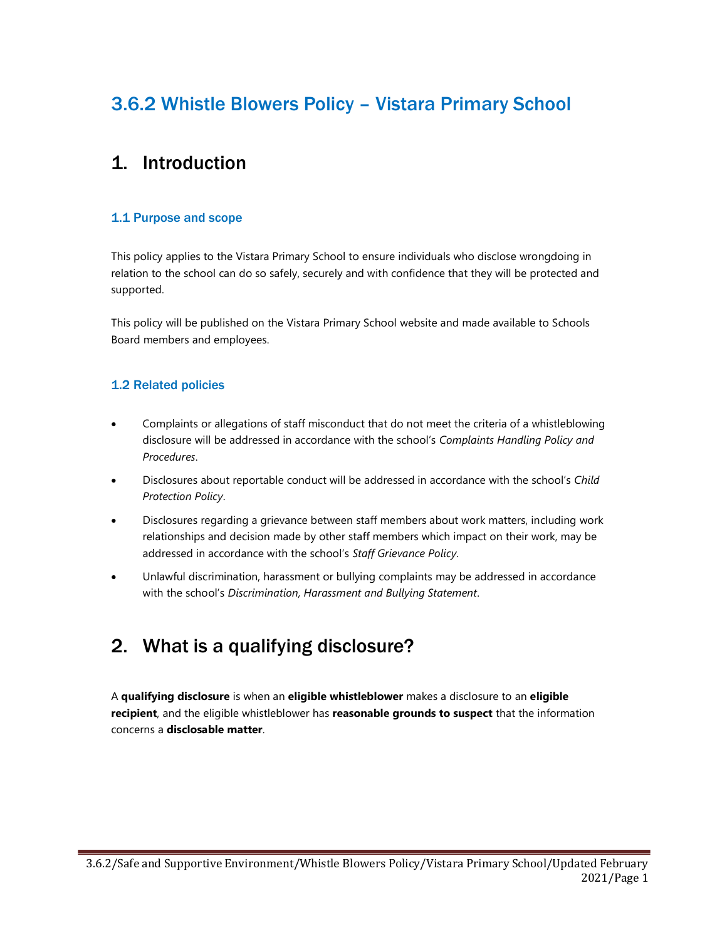# 3.6.2 Whistle Blowers Policy – Vistara Primary School

### 1. Introduction

#### 1.1 Purpose and scope

This policy applies to the Vistara Primary School to ensure individuals who disclose wrongdoing in relation to the school can do so safely, securely and with confidence that they will be protected and supported.

This policy will be published on the Vistara Primary School website and made available to Schools Board members and employees.

#### 1.2 Related policies

- Complaints or allegations of staff misconduct that do not meet the criteria of a whistleblowing disclosure will be addressed in accordance with the school's Complaints Handling Policy and Procedures.
- Disclosures about reportable conduct will be addressed in accordance with the school's Child Protection Policy.
- Disclosures regarding a grievance between staff members about work matters, including work relationships and decision made by other staff members which impact on their work, may be addressed in accordance with the school's Staff Grievance Policy.
- Unlawful discrimination, harassment or bullying complaints may be addressed in accordance with the school's Discrimination, Harassment and Bullying Statement.

## 2. What is a qualifying disclosure?

A qualifying disclosure is when an eligible whistleblower makes a disclosure to an eligible recipient, and the eligible whistleblower has reasonable grounds to suspect that the information concerns a disclosable matter.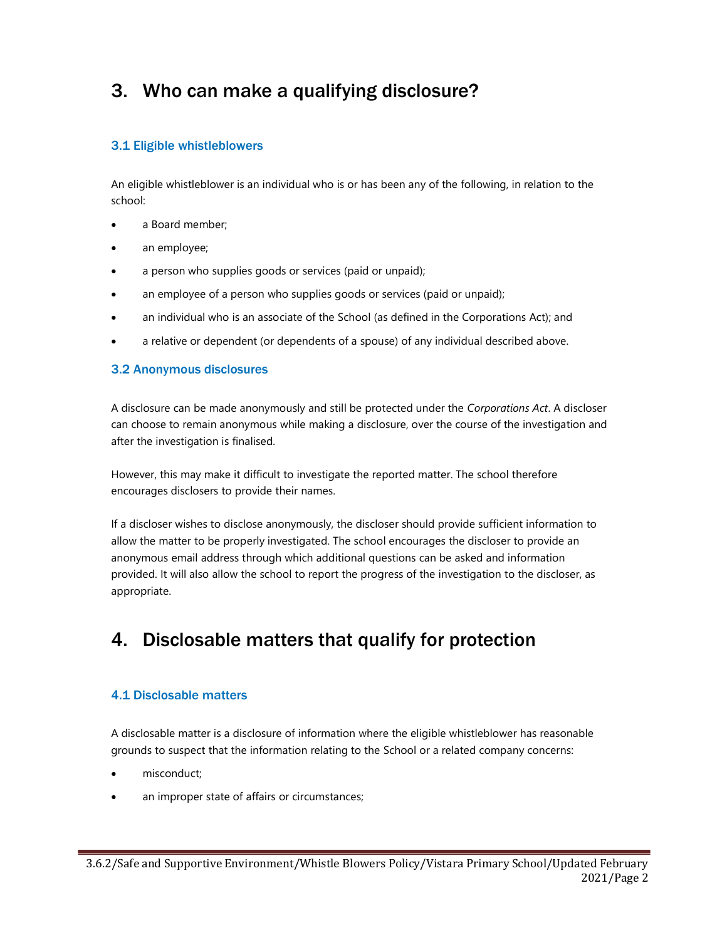# 3. Who can make a qualifying disclosure?

#### 3.1 Eligible whistleblowers

An eligible whistleblower is an individual who is or has been any of the following, in relation to the school:

- a Board member;
- an employee;
- a person who supplies goods or services (paid or unpaid);
- an employee of a person who supplies goods or services (paid or unpaid);
- an individual who is an associate of the School (as defined in the Corporations Act); and
- a relative or dependent (or dependents of a spouse) of any individual described above.

#### 3.2 Anonymous disclosures

A disclosure can be made anonymously and still be protected under the Corporations Act. A discloser can choose to remain anonymous while making a disclosure, over the course of the investigation and after the investigation is finalised.

However, this may make it difficult to investigate the reported matter. The school therefore encourages disclosers to provide their names.

If a discloser wishes to disclose anonymously, the discloser should provide sufficient information to allow the matter to be properly investigated. The school encourages the discloser to provide an anonymous email address through which additional questions can be asked and information provided. It will also allow the school to report the progress of the investigation to the discloser, as appropriate.

## 4. Disclosable matters that qualify for protection

#### 4.1 Disclosable matters

A disclosable matter is a disclosure of information where the eligible whistleblower has reasonable grounds to suspect that the information relating to the School or a related company concerns:

- misconduct;
- an improper state of affairs or circumstances;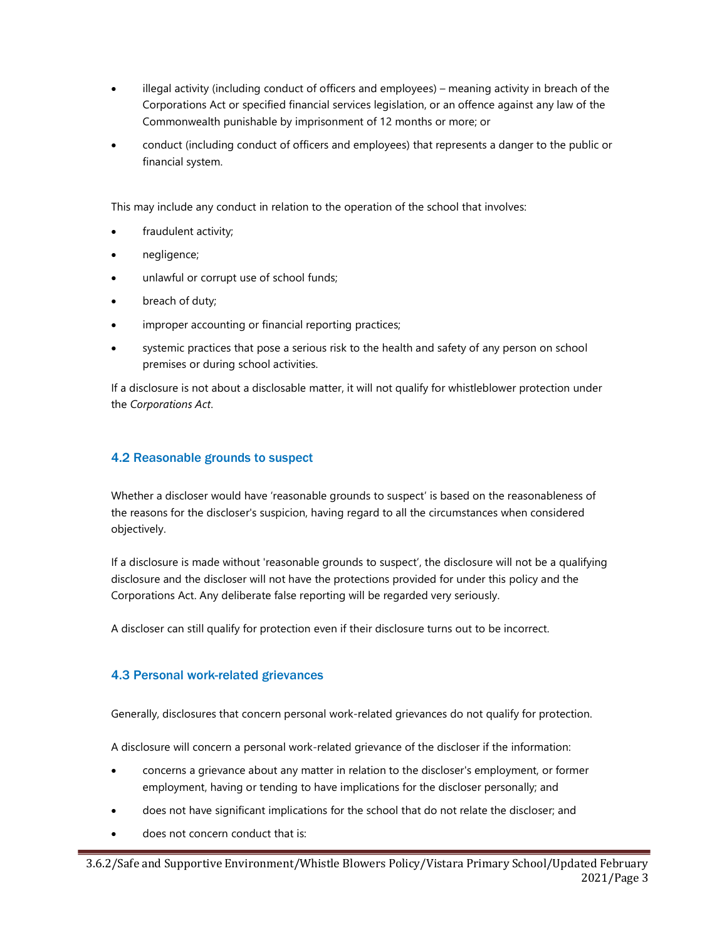- illegal activity (including conduct of officers and employees) meaning activity in breach of the Corporations Act or specified financial services legislation, or an offence against any law of the Commonwealth punishable by imprisonment of 12 months or more; or
- conduct (including conduct of officers and employees) that represents a danger to the public or financial system.

This may include any conduct in relation to the operation of the school that involves:

- fraudulent activity;
- negligence;
- unlawful or corrupt use of school funds;
- breach of duty;
- improper accounting or financial reporting practices;
- systemic practices that pose a serious risk to the health and safety of any person on school premises or during school activities.

If a disclosure is not about a disclosable matter, it will not qualify for whistleblower protection under the Corporations Act.

#### 4.2 Reasonable grounds to suspect

Whether a discloser would have 'reasonable grounds to suspect' is based on the reasonableness of the reasons for the discloser's suspicion, having regard to all the circumstances when considered objectively.

If a disclosure is made without 'reasonable grounds to suspect', the disclosure will not be a qualifying disclosure and the discloser will not have the protections provided for under this policy and the Corporations Act. Any deliberate false reporting will be regarded very seriously.

A discloser can still qualify for protection even if their disclosure turns out to be incorrect.

#### 4.3 Personal work-related grievances

Generally, disclosures that concern personal work-related grievances do not qualify for protection.

A disclosure will concern a personal work-related grievance of the discloser if the information:

- concerns a grievance about any matter in relation to the discloser's employment, or former employment, having or tending to have implications for the discloser personally; and
- does not have significant implications for the school that do not relate the discloser; and
- does not concern conduct that is: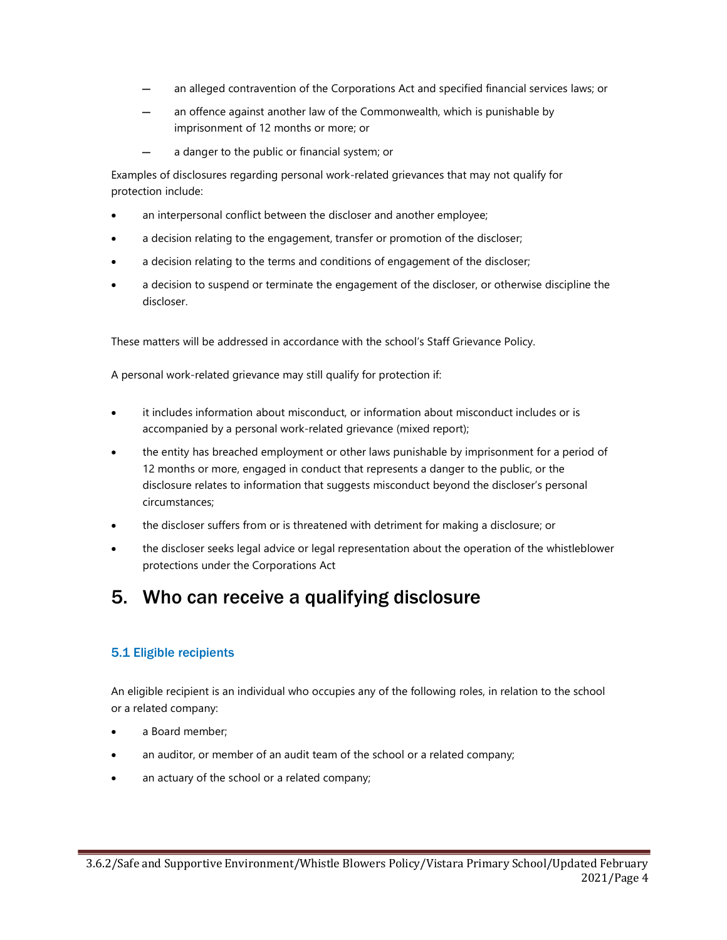- an alleged contravention of the Corporations Act and specified financial services laws; or
- an offence against another law of the Commonwealth, which is punishable by imprisonment of 12 months or more; or
- a danger to the public or financial system; or

Examples of disclosures regarding personal work-related grievances that may not qualify for protection include:

- an interpersonal conflict between the discloser and another employee;
- a decision relating to the engagement, transfer or promotion of the discloser;
- a decision relating to the terms and conditions of engagement of the discloser;
- a decision to suspend or terminate the engagement of the discloser, or otherwise discipline the discloser.

These matters will be addressed in accordance with the school's Staff Grievance Policy.

A personal work-related grievance may still qualify for protection if:

- it includes information about misconduct, or information about misconduct includes or is accompanied by a personal work-related grievance (mixed report);
- the entity has breached employment or other laws punishable by imprisonment for a period of 12 months or more, engaged in conduct that represents a danger to the public, or the disclosure relates to information that suggests misconduct beyond the discloser's personal circumstances;
- the discloser suffers from or is threatened with detriment for making a disclosure; or
- the discloser seeks legal advice or legal representation about the operation of the whistleblower protections under the Corporations Act

### 5. Who can receive a qualifying disclosure

#### 5.1 Eligible recipients

An eligible recipient is an individual who occupies any of the following roles, in relation to the school or a related company:

- a Board member;
- an auditor, or member of an audit team of the school or a related company;
- an actuary of the school or a related company;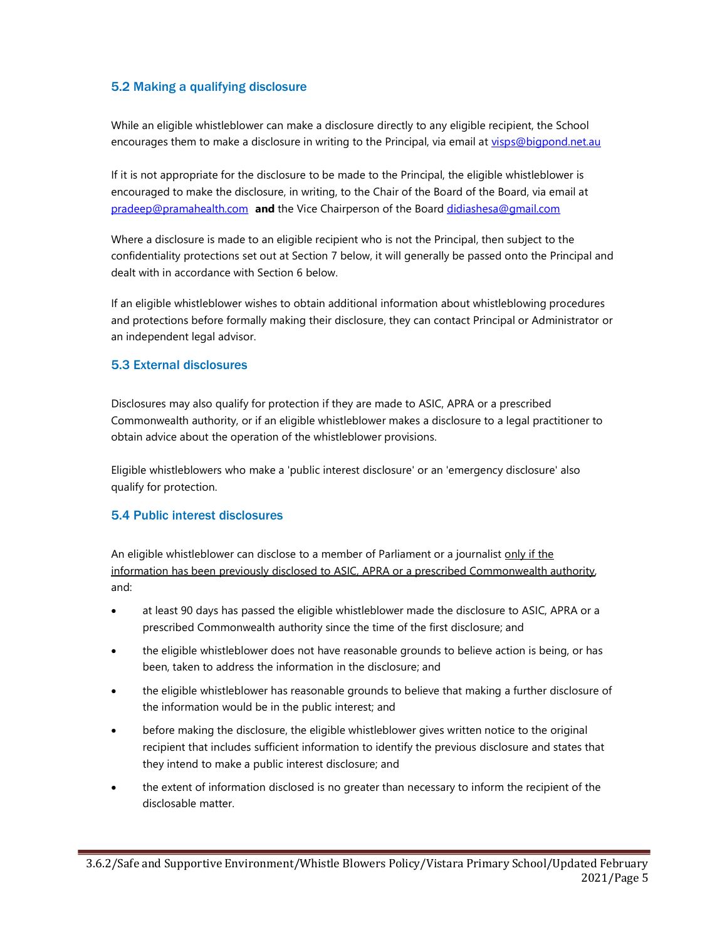#### 5.2 Making a qualifying disclosure

While an eligible whistleblower can make a disclosure directly to any eligible recipient, the School encourages them to make a disclosure in writing to the Principal, via email at visps@bigpond.net.au

If it is not appropriate for the disclosure to be made to the Principal, the eligible whistleblower is encouraged to make the disclosure, in writing, to the Chair of the Board of the Board, via email at pradeep@pramahealth.com and the Vice Chairperson of the Board didiashesa@gmail.com

Where a disclosure is made to an eligible recipient who is not the Principal, then subject to the confidentiality protections set out at Section 7 below, it will generally be passed onto the Principal and dealt with in accordance with Section 6 below.

If an eligible whistleblower wishes to obtain additional information about whistleblowing procedures and protections before formally making their disclosure, they can contact Principal or Administrator or an independent legal advisor.

#### 5.3 External disclosures

Disclosures may also qualify for protection if they are made to ASIC, APRA or a prescribed Commonwealth authority, or if an eligible whistleblower makes a disclosure to a legal practitioner to obtain advice about the operation of the whistleblower provisions.

Eligible whistleblowers who make a 'public interest disclosure' or an 'emergency disclosure' also qualify for protection.

#### 5.4 Public interest disclosures

An eligible whistleblower can disclose to a member of Parliament or a journalist only if the information has been previously disclosed to ASIC, APRA or a prescribed Commonwealth authority, and:

- at least 90 days has passed the eligible whistleblower made the disclosure to ASIC, APRA or a prescribed Commonwealth authority since the time of the first disclosure; and
- the eligible whistleblower does not have reasonable grounds to believe action is being, or has been, taken to address the information in the disclosure; and
- the eligible whistleblower has reasonable grounds to believe that making a further disclosure of the information would be in the public interest; and
- before making the disclosure, the eligible whistleblower gives written notice to the original recipient that includes sufficient information to identify the previous disclosure and states that they intend to make a public interest disclosure; and
- the extent of information disclosed is no greater than necessary to inform the recipient of the disclosable matter.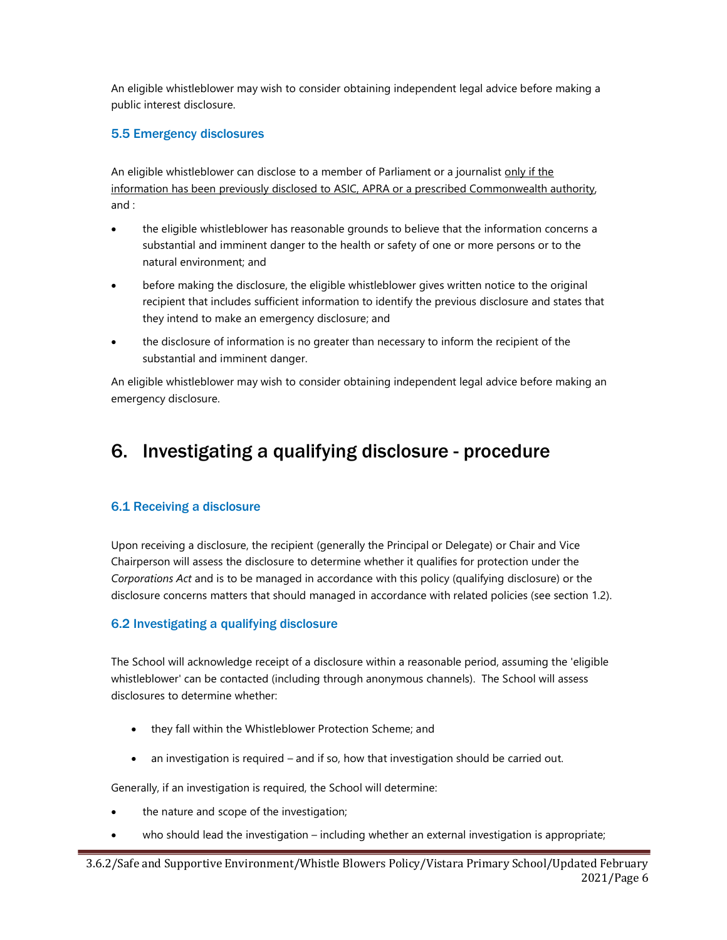An eligible whistleblower may wish to consider obtaining independent legal advice before making a public interest disclosure.

#### 5.5 Emergency disclosures

An eligible whistleblower can disclose to a member of Parliament or a journalist only if the information has been previously disclosed to ASIC, APRA or a prescribed Commonwealth authority, and :

- the eligible whistleblower has reasonable grounds to believe that the information concerns a substantial and imminent danger to the health or safety of one or more persons or to the natural environment; and
- before making the disclosure, the eligible whistleblower gives written notice to the original recipient that includes sufficient information to identify the previous disclosure and states that they intend to make an emergency disclosure; and
- the disclosure of information is no greater than necessary to inform the recipient of the substantial and imminent danger.

An eligible whistleblower may wish to consider obtaining independent legal advice before making an emergency disclosure.

# 6. Investigating a qualifying disclosure - procedure

#### 6.1 Receiving a disclosure

Upon receiving a disclosure, the recipient (generally the Principal or Delegate) or Chair and Vice Chairperson will assess the disclosure to determine whether it qualifies for protection under the Corporations Act and is to be managed in accordance with this policy (qualifying disclosure) or the disclosure concerns matters that should managed in accordance with related policies (see section 1.2).

#### 6.2 Investigating a qualifying disclosure

The School will acknowledge receipt of a disclosure within a reasonable period, assuming the 'eligible whistleblower' can be contacted (including through anonymous channels). The School will assess disclosures to determine whether:

- they fall within the Whistleblower Protection Scheme; and
- an investigation is required and if so, how that investigation should be carried out.

Generally, if an investigation is required, the School will determine:

- the nature and scope of the investigation;
- who should lead the investigation including whether an external investigation is appropriate;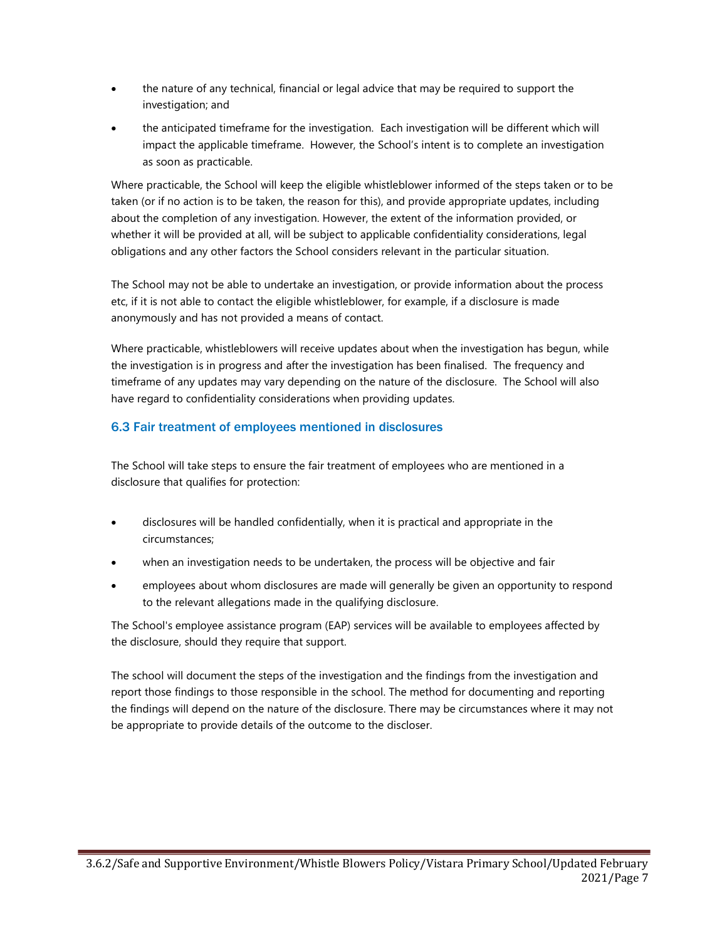- the nature of any technical, financial or legal advice that may be required to support the investigation; and
- the anticipated timeframe for the investigation. Each investigation will be different which will impact the applicable timeframe. However, the School's intent is to complete an investigation as soon as practicable.

Where practicable, the School will keep the eligible whistleblower informed of the steps taken or to be taken (or if no action is to be taken, the reason for this), and provide appropriate updates, including about the completion of any investigation. However, the extent of the information provided, or whether it will be provided at all, will be subject to applicable confidentiality considerations, legal obligations and any other factors the School considers relevant in the particular situation.

The School may not be able to undertake an investigation, or provide information about the process etc, if it is not able to contact the eligible whistleblower, for example, if a disclosure is made anonymously and has not provided a means of contact.

Where practicable, whistleblowers will receive updates about when the investigation has begun, while the investigation is in progress and after the investigation has been finalised. The frequency and timeframe of any updates may vary depending on the nature of the disclosure. The School will also have regard to confidentiality considerations when providing updates.

#### 6.3 Fair treatment of employees mentioned in disclosures

The School will take steps to ensure the fair treatment of employees who are mentioned in a disclosure that qualifies for protection:

- disclosures will be handled confidentially, when it is practical and appropriate in the circumstances;
- when an investigation needs to be undertaken, the process will be objective and fair
- employees about whom disclosures are made will generally be given an opportunity to respond to the relevant allegations made in the qualifying disclosure.

The School's employee assistance program (EAP) services will be available to employees affected by the disclosure, should they require that support.

The school will document the steps of the investigation and the findings from the investigation and report those findings to those responsible in the school. The method for documenting and reporting the findings will depend on the nature of the disclosure. There may be circumstances where it may not be appropriate to provide details of the outcome to the discloser.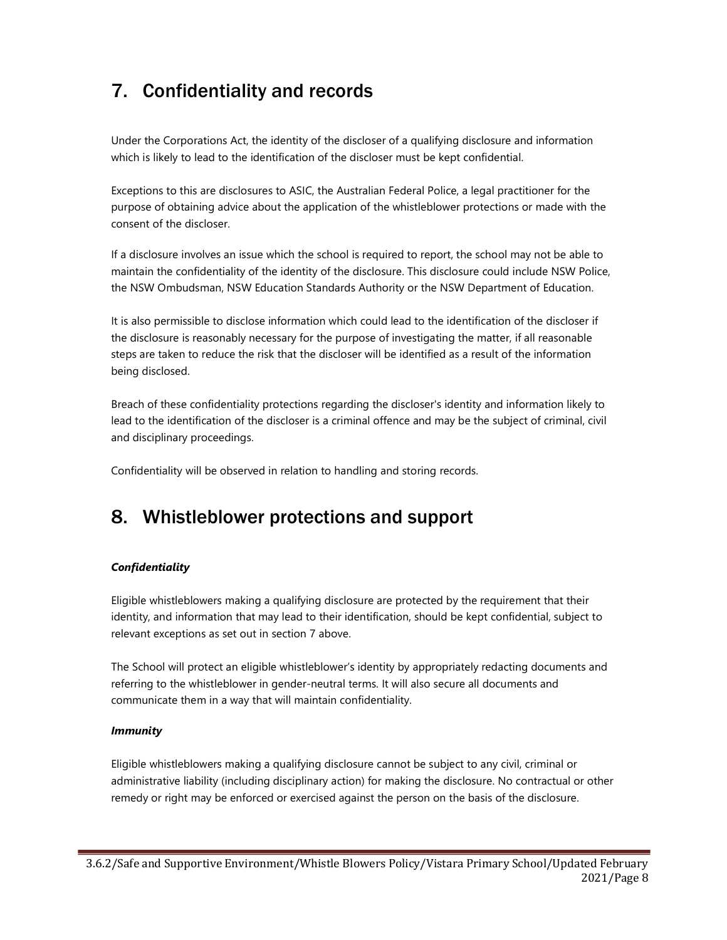# 7. Confidentiality and records

Under the Corporations Act, the identity of the discloser of a qualifying disclosure and information which is likely to lead to the identification of the discloser must be kept confidential.

Exceptions to this are disclosures to ASIC, the Australian Federal Police, a legal practitioner for the purpose of obtaining advice about the application of the whistleblower protections or made with the consent of the discloser.

If a disclosure involves an issue which the school is required to report, the school may not be able to maintain the confidentiality of the identity of the disclosure. This disclosure could include NSW Police, the NSW Ombudsman, NSW Education Standards Authority or the NSW Department of Education.

It is also permissible to disclose information which could lead to the identification of the discloser if the disclosure is reasonably necessary for the purpose of investigating the matter, if all reasonable steps are taken to reduce the risk that the discloser will be identified as a result of the information being disclosed.

Breach of these confidentiality protections regarding the discloser's identity and information likely to lead to the identification of the discloser is a criminal offence and may be the subject of criminal, civil and disciplinary proceedings.

Confidentiality will be observed in relation to handling and storing records.

### 8. Whistleblower protections and support

#### **Confidentiality**

Eligible whistleblowers making a qualifying disclosure are protected by the requirement that their identity, and information that may lead to their identification, should be kept confidential, subject to relevant exceptions as set out in section 7 above.

The School will protect an eligible whistleblower's identity by appropriately redacting documents and referring to the whistleblower in gender-neutral terms. It will also secure all documents and communicate them in a way that will maintain confidentiality.

#### Immunity

Eligible whistleblowers making a qualifying disclosure cannot be subject to any civil, criminal or administrative liability (including disciplinary action) for making the disclosure. No contractual or other remedy or right may be enforced or exercised against the person on the basis of the disclosure.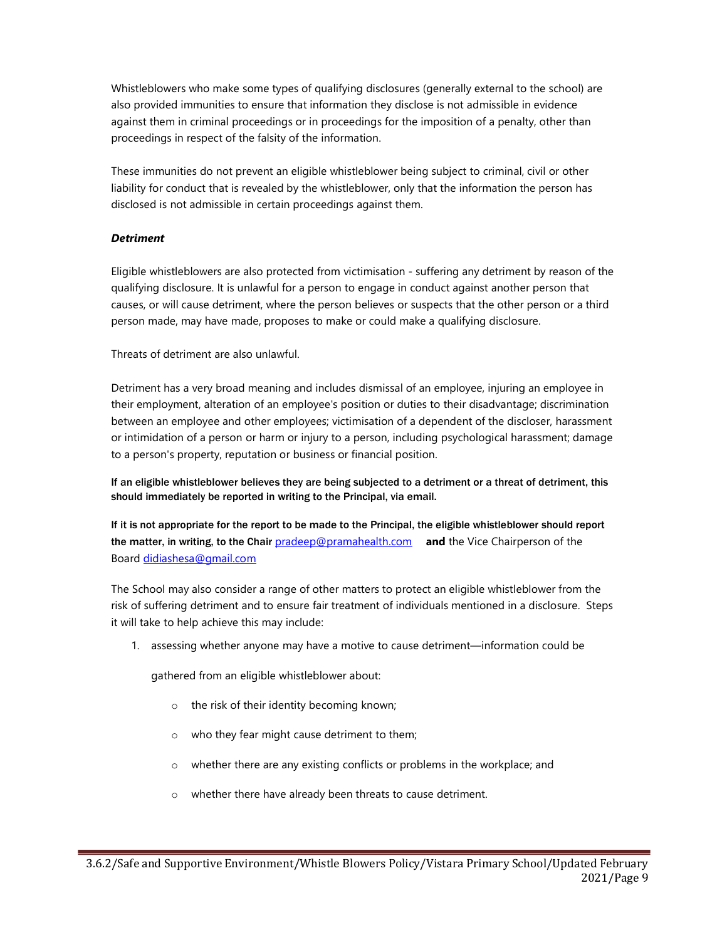Whistleblowers who make some types of qualifying disclosures (generally external to the school) are also provided immunities to ensure that information they disclose is not admissible in evidence against them in criminal proceedings or in proceedings for the imposition of a penalty, other than proceedings in respect of the falsity of the information.

These immunities do not prevent an eligible whistleblower being subject to criminal, civil or other liability for conduct that is revealed by the whistleblower, only that the information the person has disclosed is not admissible in certain proceedings against them.

#### **Detriment**

Eligible whistleblowers are also protected from victimisation - suffering any detriment by reason of the qualifying disclosure. It is unlawful for a person to engage in conduct against another person that causes, or will cause detriment, where the person believes or suspects that the other person or a third person made, may have made, proposes to make or could make a qualifying disclosure.

Threats of detriment are also unlawful.

Detriment has a very broad meaning and includes dismissal of an employee, injuring an employee in their employment, alteration of an employee's position or duties to their disadvantage; discrimination between an employee and other employees; victimisation of a dependent of the discloser, harassment or intimidation of a person or harm or injury to a person, including psychological harassment; damage to a person's property, reputation or business or financial position.

If an eligible whistleblower believes they are being subjected to a detriment or a threat of detriment, this should immediately be reported in writing to the Principal, via email.

If it is not appropriate for the report to be made to the Principal, the eligible whistleblower should report the matter, in writing, to the Chair pradeep@pramahealth.com and the Vice Chairperson of the Board didiashesa@gmail.com

The School may also consider a range of other matters to protect an eligible whistleblower from the risk of suffering detriment and to ensure fair treatment of individuals mentioned in a disclosure. Steps it will take to help achieve this may include:

1. assessing whether anyone may have a motive to cause detriment—information could be

gathered from an eligible whistleblower about:

- o the risk of their identity becoming known;
- o who they fear might cause detriment to them;
- o whether there are any existing conflicts or problems in the workplace; and
- o whether there have already been threats to cause detriment.